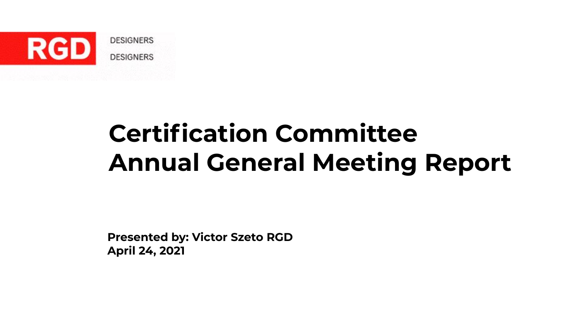

### **Certification Committee Annual General Meeting Report**

**Presented by: Victor Szeto RGD April 24, 2021**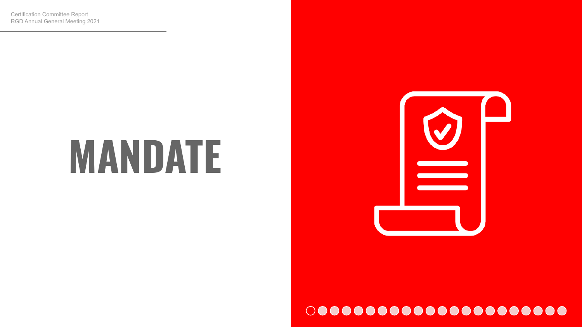### **MANDATE**

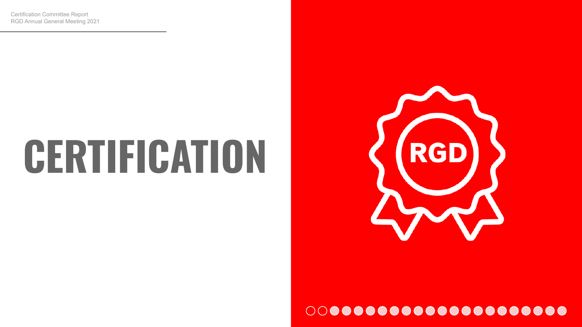### **CERTIFICATION**

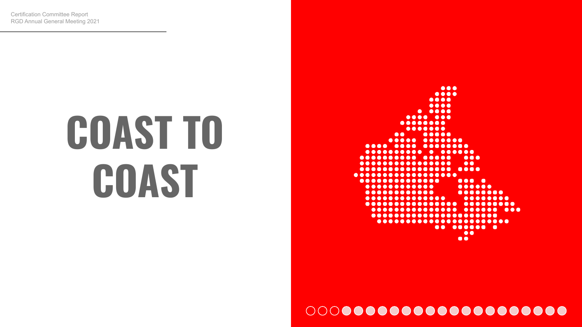## **COAST TO COAST**

 $\bullet\bullet\bullet$ .... ....  $\bullet\bullet\bullet\bullet$  $0.000$ ... .... ....... ...... ..... .. ..... ... .... ..........  $• • •$  $$  $\begin{array}{ccc} \bullet & \bullet & \bullet & \bullet & \bullet \end{array}$  $\bullet\bullet$ . . . . . . . . . . . . . . .  $\bullet \bullet \bullet \bullet$ .............. ................ ..............  $\cdots$ ............ ............ ........ .............. ........ ................ ......... ............... ...... ... ...................... .......................  $00.0000000$  $\bullet\bullet$  $\bullet\bullet$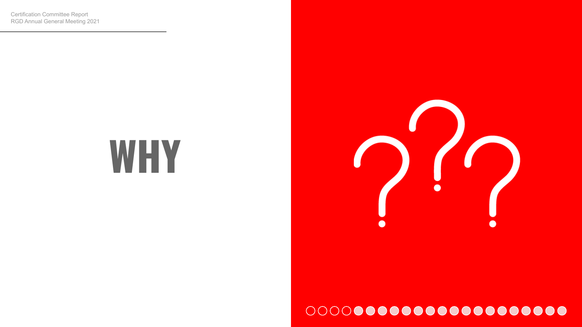### **WHY**

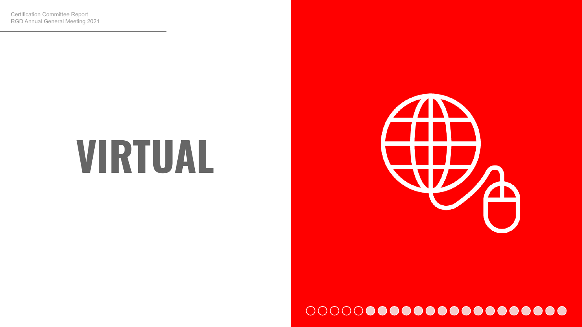### **VIRTUAL**

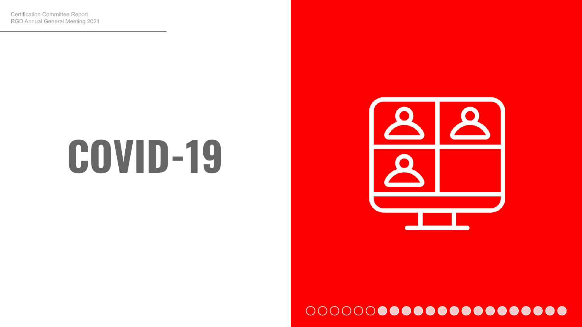### **COVID-19**

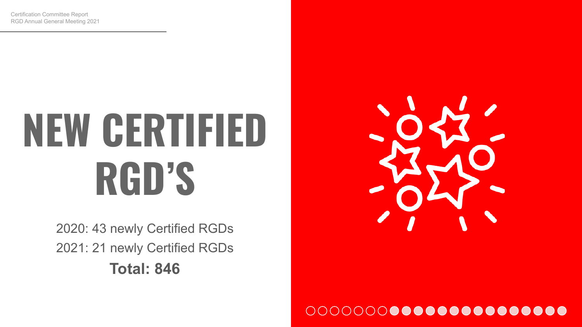## **NEW CERTIFIED RGD'S**

2020: 43 newly Certified RGDs 2021: 21 newly Certified RGDs **Total: 846**

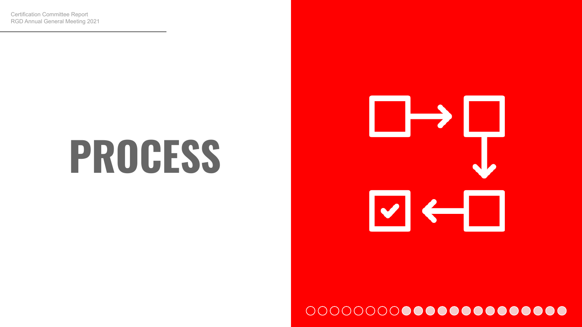### **PROCESS**

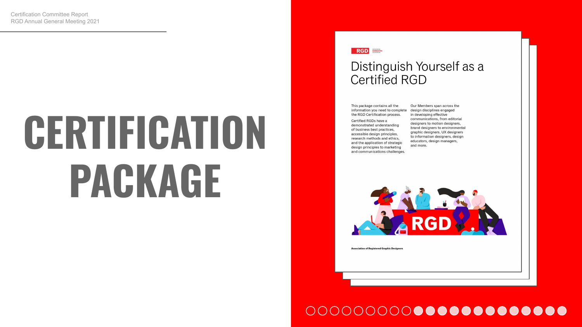## **CERTIFICATION PACKAGE**

### RGD **Section**

### Distinguish Yourself as a Certified RGD

This package contains all the information you need to complete the RGD Certification process.

Certified RGDs have a demonstrated understanding of business best practices. accessible design principles, research methods and ethics, and the application of strategic design principles to marketing and communications challenges

Our Members span across the design disciplines engaged in developing effective communications, from editorial designers to motion designers, brand designers to environmental graphic designers, UX designers to information designers, design educators, design managers, and more.



**Association of Registered Graphic Designer**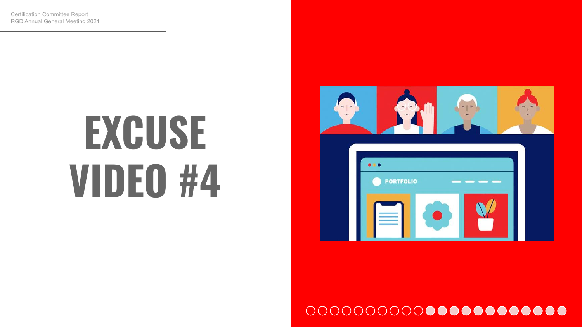## **EXCUSE VIDEO #4**

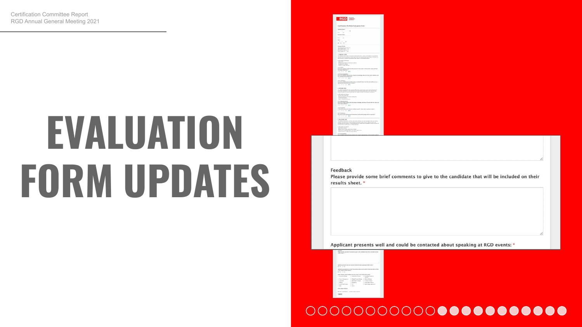## **EVALUATION FORM UPDATES**



### Feedback

Please provide some brief comments to give to the candidate that will be included on their results sheet. \*

Applicant presents well and could be contacted about speaking at RGD events: \*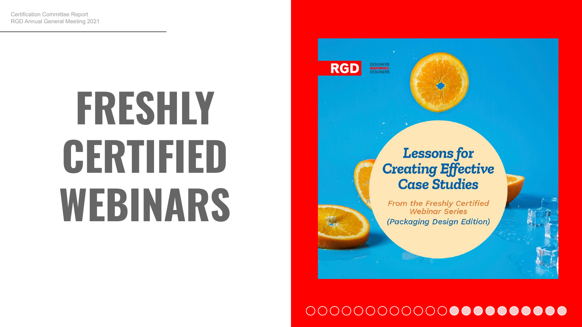## **FRESHLY CERTIFIED WEBINARS**



### **Lessons for Creating Effective Case Studies**

From the Freshly Certified **Webinar Series** (Packaging Design Edition)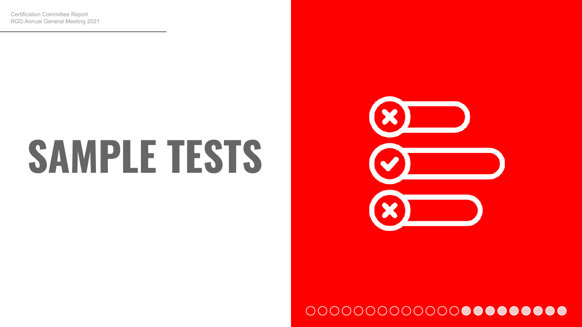## **SAMPLE TESTS**

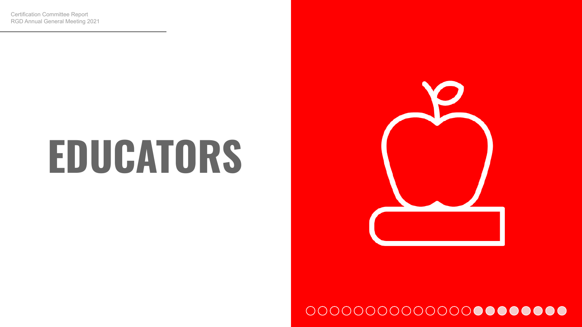### **EDUCATORS**

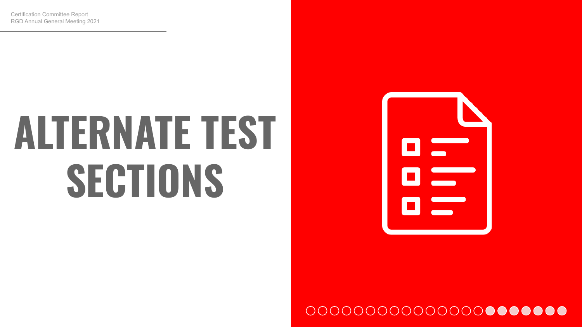## **ALTERNATE TEST SECTIONS**

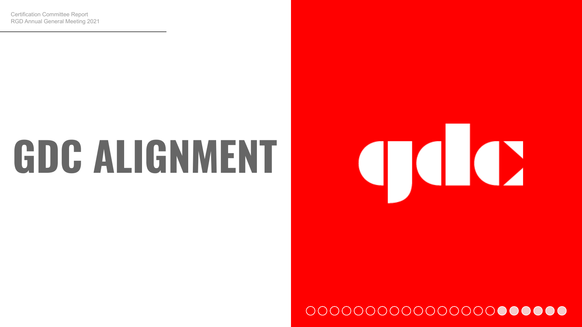### **GDC ALIGNMENT**

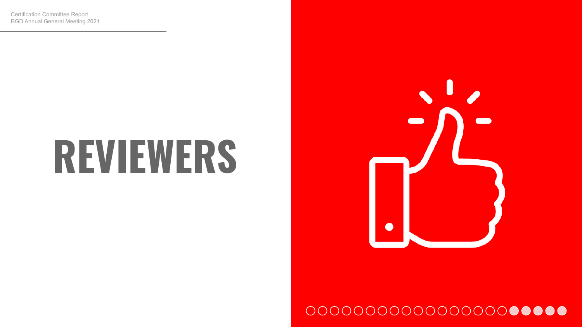### **REVIEWERS**

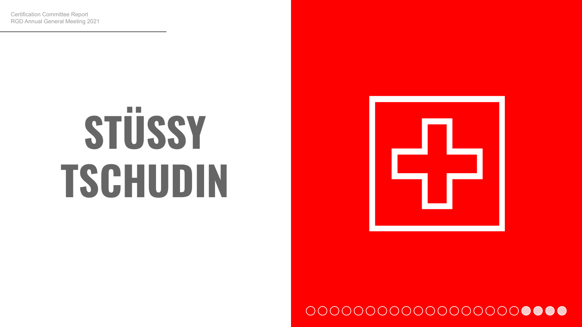# **STÜSSY TSCHUDIN**

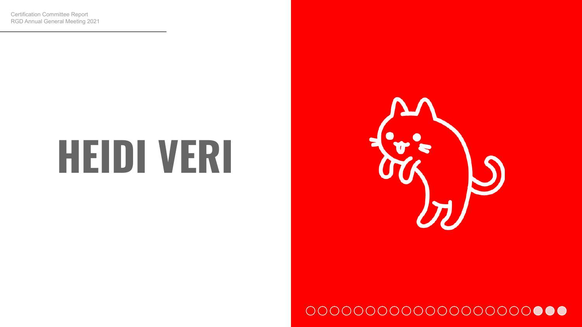### **HEIDI VERI**

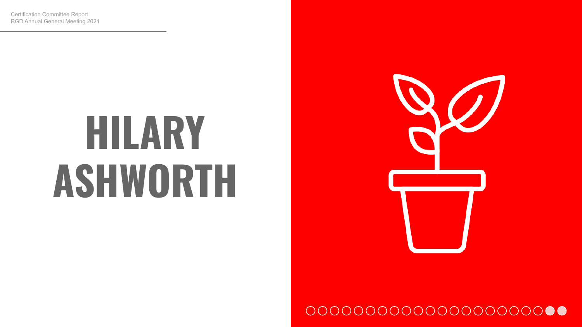### **HILARY ASHWORTH**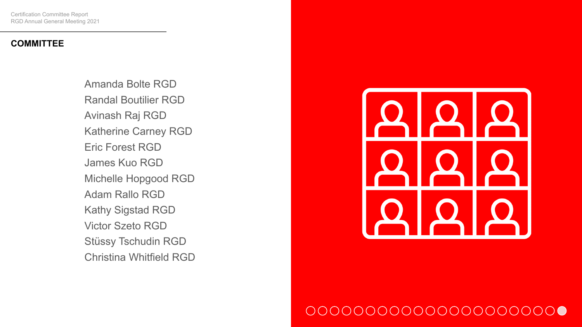### **COMMITTEE**

Amanda Bolte RGD Randal Boutilier RGD Avinash Raj RGD Katherine Carney RGD Eric Forest RGD James Kuo RGD Michelle Hopgood RGD Adam Rallo RGD Kathy Sigstad RGD Victor Szeto RGD Stüssy Tschudin RGD Christina Whitfield RGD